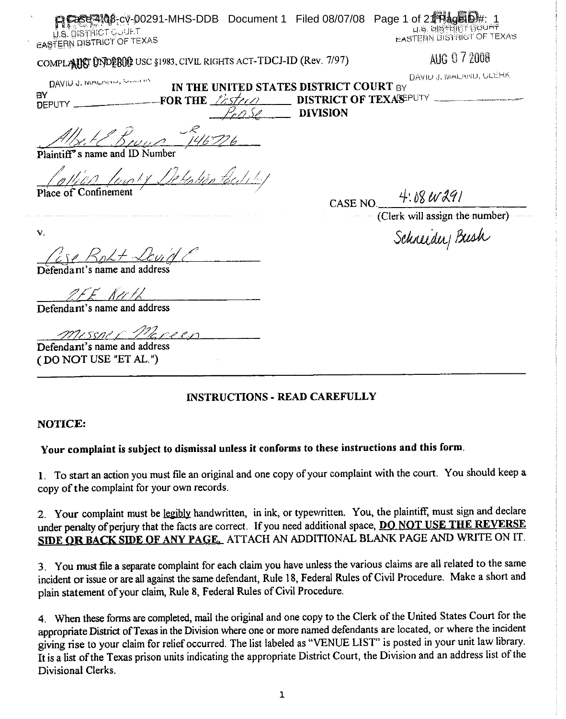| <b>P Ease 410</b> 8-cv-00291-MHS-DDB Document 1 Filed 08/07/08 Page 1 of 21 Hage D#: 1<br>U.S. DISTRICT CUUF T<br><b>EASTERN DISTRICT OF TEXAS</b> |                 | U.S. BISTRICT GOURT<br><b>EASTERN BISTRICT OF TEXAS</b> |
|----------------------------------------------------------------------------------------------------------------------------------------------------|-----------------|---------------------------------------------------------|
| COMPLANCT UNDEROR USC \$1983, CIVIL RIGHTS ACT-TDCJ-ID (Rev. 7/97)                                                                                 |                 | AUG 07 2008                                             |
| DAVIDJ, IVIDLINSU, VIDINV                                                                                                                          |                 | DAVID J. WALAND, ULERK                                  |
| IN THE UNITED STATES DISTRICT COURT BY<br>ÐΥ                                                                                                       |                 | <b>DISTRICT OF TEXASEPUTY</b>                           |
| FOR THE <i>Lestern</i><br><b>DEPUTY</b><br>r o Se                                                                                                  | <b>DIVISION</b> |                                                         |
| $1.0$ 146776<br>iff's name and ID Number                                                                                                           |                 |                                                         |
| ollico logoty Detation tecitibul                                                                                                                   |                 |                                                         |
|                                                                                                                                                    |                 | CASE NO $-4.88 \, \mu \lambda$ 9/                       |
|                                                                                                                                                    |                 | (Clerk will assign the number)                          |
| $\mathbf{V}$ .                                                                                                                                     |                 | Schneider Bush                                          |
| $\zeta_0\angle\neq\angle\zeta_0\gamma_1$<br>Defendant's name and address                                                                           |                 |                                                         |
| 9 E E - K <i>urti</i><br>Defendant's name and address                                                                                              |                 |                                                         |
| missnir Mareen<br>Defendant's name and address                                                                                                     |                 |                                                         |

## **INSTRUCTIONS - READ CAREFULLY**

#### NOTICE:

# Your complaint is subject to dismissal unless it conforms to these instructions and this form.

1. To start an action you must file an original and one copy of your complaint with the court. You should keep a copy of the complaint for your own records.

2. Your complaint must be legibly handwritten, in ink, or typewritten. You, the plaintiff, must sign and declare under penalty of perjury that the facts are correct. If you need additional space, DO NOT USE THE REVERSE SIDE OR BACK SIDE OF ANY PAGE. ATTACH AN ADDITIONAL BLANK PAGE AND WRITE ON IT.

3. You must file a separate complaint for each claim you have unless the various claims are all related to the same incident or issue or are all against the same defendant, Rule 18, Federal Rules of Civil Procedure. Make a short and plain statement of your claim, Rule 8, Federal Rules of Civil Procedure.

4. When these forms are completed, mail the original and one copy to the Clerk of the United States Court for the appropriate District of Texas in the Division where one or more named defendants are located, or where the incident giving rise to your claim for relief occurred. The list labeled as "VENUE LIST" is posted in your unit law library. It is a list of the Texas prison units indicating the appropriate District Court, the Division and an address list of the Divisional Clerks.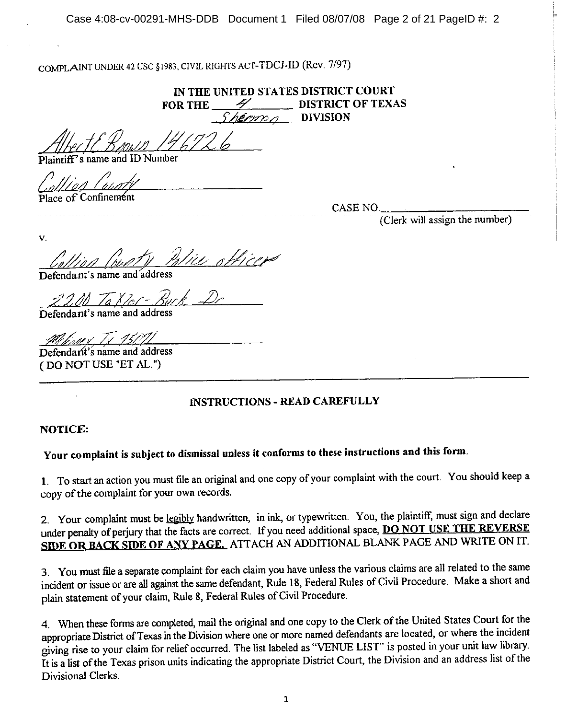COMPLAINT UNDER 42 USC §1983, CIVIL RIGHTS ACT-TDCJ-ID (Rev. 7/97)

IN THE UNITED STATES DISTRICT COURT **DISTRICT OF TEXAS FOR THE**  $\mathcal{P}$  DIVISION

Plaintiff's name and ID Number

Place of Confinement

CASE NO.

(Clerk will assign the number)

 $\mathbf{v}$ lie otticer

Defendant's name and address

2200 Takler-Buck Defendant's name and address

Melinner Tx 15011

Defendant's name and address (DO NOT USE "ET AL.")

### **INSTRUCTIONS - READ CAREFULLY**

### **NOTICE:**

# Your complaint is subject to dismissal unless it conforms to these instructions and this form.

1. To start an action you must file an original and one copy of your complaint with the court. You should keep a copy of the complaint for your own records.

2. Your complaint must be legibly handwritten, in ink, or typewritten. You, the plaintiff, must sign and declare under penalty of perjury that the facts are correct. If you need additional space, DO NOT USE THE REVERSE SIDE OR BACK SIDE OF ANY PAGE. ATTACH AN ADDITIONAL BLANK PAGE AND WRITE ON IT.

3. You must file a separate complaint for each claim you have unless the various claims are all related to the same incident or issue or are all against the same defendant, Rule 18, Federal Rules of Civil Procedure. Make a short and plain statement of your claim, Rule 8, Federal Rules of Civil Procedure.

4. When these forms are completed, mail the original and one copy to the Clerk of the United States Court for the appropriate District of Texas in the Division where one or more named defendants are located, or where the incident giving rise to your claim for relief occurred. The list labeled as "VENUE LIST" is posted in your unit law library. It is a list of the Texas prison units indicating the appropriate District Court, the Division and an address list of the Divisional Clerks.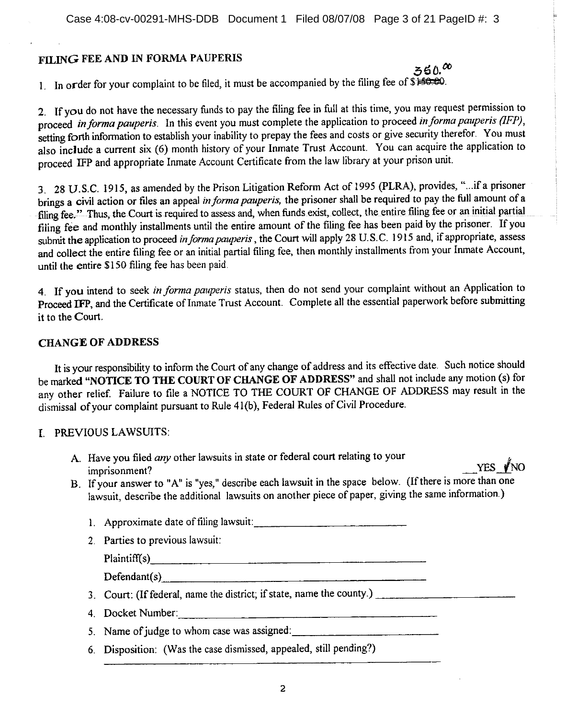## FILING FEE AND IN FORMA PAUPERIS

 $350.00$ 1. In order for your complaint to be filed, it must be accompanied by the filing fee of \$150.00.

2. If you do not have the necessary funds to pay the filing fee in full at this time, you may request permission to proceed in forma pauperis. In this event you must complete the application to proceed in forma pauperis (IFP), setting forth information to establish your inability to prepay the fees and costs or give security therefor. You must also include a current six (6) month history of your Inmate Trust Account. You can acquire the application to proceed IFP and appropriate Inmate Account Certificate from the law library at your prison unit.

3. 28 U.S.C. 1915, as amended by the Prison Litigation Reform Act of 1995 (PLRA), provides, "...if a prisoner brings a civil action or files an appeal in forma pauperis, the prisoner shall be required to pay the full amount of a filing fee." Thus, the Court is required to assess and, when funds exist, collect, the entire filing fee or an initial partial filing fee and monthly installments until the entire amount of the filing fee has been paid by the prisoner. If you submit the application to proceed in forma pauperis, the Court will apply 28 U.S.C. 1915 and, if appropriate, assess and collect the entire filing fee or an initial partial filing fee, then monthly installments from your Inmate Account, until the entire \$150 filing fee has been paid.

4. If you intend to seek in forma pauperis status, then do not send your complaint without an Application to Proceed IFP, and the Certificate of Inmate Trust Account. Complete all the essential paperwork before submitting it to the Court.

### **CHANGE OF ADDRESS**

It is your responsibility to inform the Court of any change of address and its effective date. Such notice should be marked "NOTICE TO THE COURT OF CHANGE OF ADDRESS" and shall not include any motion (s) for any other relief. Failure to file a NOTICE TO THE COURT OF CHANGE OF ADDRESS may result in the dismissal of your complaint pursuant to Rule 41(b), Federal Rules of Civil Procedure.

#### I. PREVIOUS LAWSUITS:

- A. Have you filed any other lawsuits in state or federal court relating to your imprisonment?
- B. If your answer to "A" is "yes," describe each lawsuit in the space below. (If there is more than one lawsuit, describe the additional lawsuits on another piece of paper, giving the same information.)

1. Approximate date of filing lawsuit:  $\frac{1}{2}$ 

2. Parties to previous lawsuit:

Plaintiff(s)

 $Defendant(s)$ 

3. Court: (If federal, name the district; if state, name the county.)

4. Docket Number:

5. Name of judge to whom case was assigned:

6. Disposition: (Was the case dismissed, appealed, still pending?)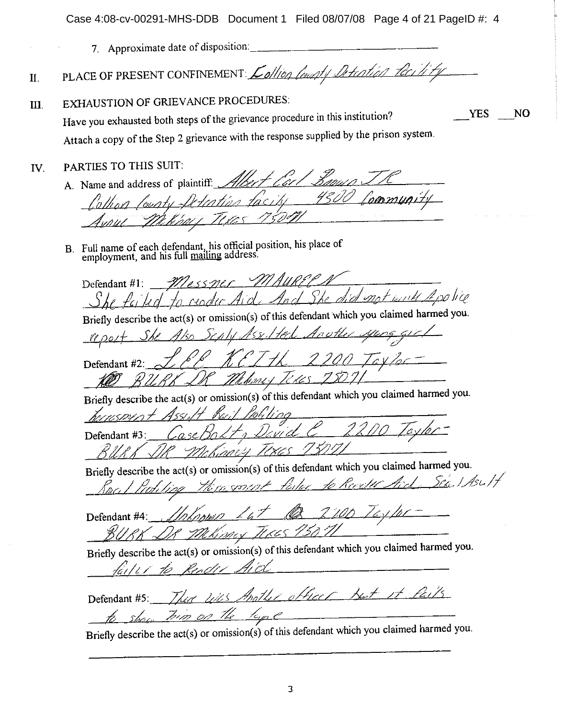Case 4:08-cv-00291-MHS-DDB Document 1 Filed 08/07/08 Page 4 of 21 PageID #: 4

**YES** 

NO

7. Approximate date of disposition:

PLACE OF PRESENT CONFINEMENT: <u>Lollion</u> launty Detention for it  $\Pi$ .

**EXHAUSTION OF GRIEVANCE PROCEDURES:** III.

Have you exhausted both steps of the grievance procedure in this institution? Attach a copy of the Step 2 grievance with the response supplied by the prison system.

PARTIES TO THIS SUIT: IV.

A. Name and address of plaintiff: h C i

B. Full name of each defendant, his official position, his place of employment, and his full mailing address.

Defendant #1: Mossme mot with A police

Briefly describe the act(s) or omission(s) of this defendant which you claimed harmed you.

Defendant #2 10.168 t kons 1

Briefly describe the  $act(s)$  or omission(s) of this defendant which you claimed harmed you.

re me Defendant #3 mes Tex

Briefly describe the act(s) or omission(s) of this defendant which you claimed harmed you.

Sex. I Asc. It

Defendant #4: 11708 imes

Briefly describe the act(s) or omission(s) of this defendant which you claimed harmed you.

mother officer but it fails. Defendant #5:

Briefly describe the  $act(s)$  or omission(s) of this defendant which you claimed harmed you.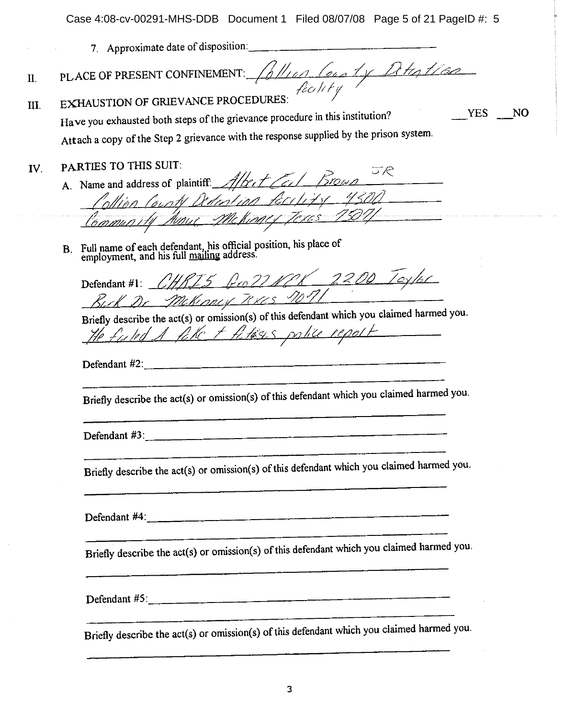YES NO

- 7. Approximate date of disposition:
- PLACE OF PRESENT CONFINEMENT:  $\int_{0}^{1}\frac{1}{\sqrt{2\pi}}\int_{0}^{1}\frac{1}{\sqrt{2\pi}}\frac{1}{\sqrt{2\pi}}$ II.
- **EXHAUSTION OF GRIEVANCE PROCEDURES:** III.

Have you exhausted both steps of the grievance procedure in this institution? Attach a copy of the Step 2 grievance with the response supplied by the prison system.

- PARTIES TO THIS SUIT: IV.
	- A. Name and address of plaintiff. Albert Cert Brown olling Cough Dediction fecility 4300 Community Annue McKinger Texes 7507/
	- B. Full name of each defendant, his official position, his place of employment, and his full mailing address.

Defendant #1: CHRIS Gro 22NOX 2200 Toylor Buck Dr. Mckinner Texcs non

Briefly describe the act(s) or omission(s) of this defendant which you claimed harmed you. He fulled A fake + fatisis police report

Defendant #2:

Briefly describe the act(s) or omission(s) of this defendant which you claimed harmed you.

Defendant  $\#3$ :

Briefly describe the act(s) or omission(s) of this defendant which you claimed harmed you.

Defendant #4:

Briefly describe the act(s) or omission(s) of this defendant which you claimed harmed you.

Defendant #5:

Briefly describe the act(s) or omission(s) of this defendant which you claimed harmed you.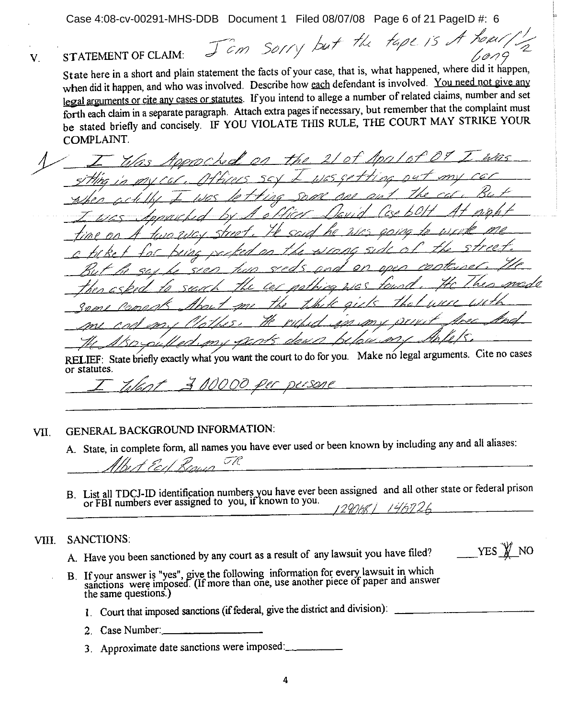Case 4:08-cv-00291-MHS-DDB Document 1 Filed 08/07/08 Page 6 of 21 PageID #: 6

Jam sorry but the tape is A home. STATEMENT OF CLAIM:  $1,0,09$  $\mathbf{V}$ State here in a short and plain statement the facts of your case, that is, what happened, where did it happen, when did it happen, and who was involved. Describe how each defendant is involved. You need not give any legal arguments or cite any cases or statutes. If you intend to allege a number of related claims, number and set forth each claim in a separate paragraph. Attach extra pages if necessary, but remember that the complaint must be stated briefly and concisely. IF YOU VIOLATE THIS RULE, THE COURT MAY STRIKE YOUR **COMPLAINT.** 

#### **GENERAL BACKGROUND INFORMATION:** VII.

A. State, in complete form, all names you have ever used or been known by including any and all aliases:

MOOD per persone

RELIEF: State briefly exactly what you want the court to do for you. Make no legal arguments. Cite no cases

H 17

B. List all TDCJ-ID identification numbers you have ever been assigned and all other state or federal prison or FBI numbers ever assigned to you, if known to you.

#### **SANCTIONS:** VIII.

or statutes.

A. Have you been sanctioned by any court as a result of any lawsuit you have filed?

YES W NO

B. If your answer is "yes", give the following information for every lawsuit in which sanctions were imposed. (If more than one, use another piece of paper and answer the same questions.)

1. Court that imposed sanctions (if federal, give the district and division):

- 2. Case Number:
- 3. Approximate date sanctions were imposed: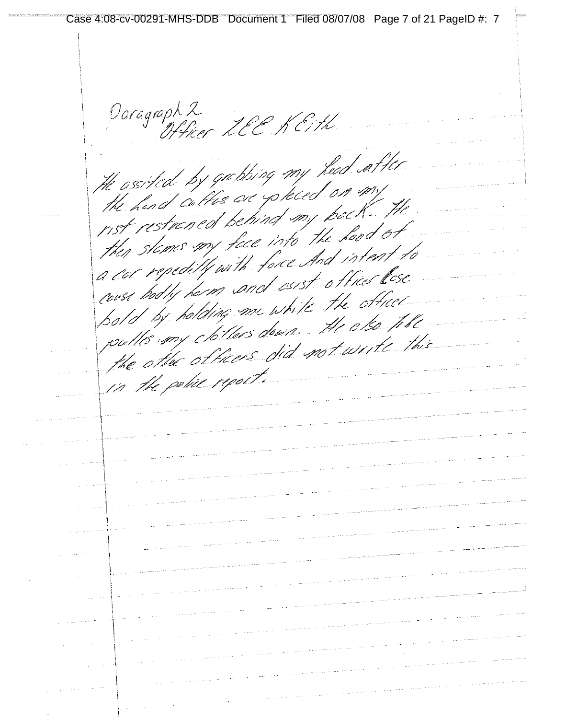Case 4:08-cv-00291-MHS-DDB Document 1 Filed 08/07/08 Page 7 of 21 PageID #: 7Paragraph 2<br>Officer LEE KETH He assisted by gubbing my head after the assisted by yourning my the hand cattle are goneco in the nst restrenced behind my pact the slemes my face into the horse of to a car repeditly with forcesing the lese couse hodly herm and estimate the officer pold by holding me write the also title pulles my chothers did not write this in the police report.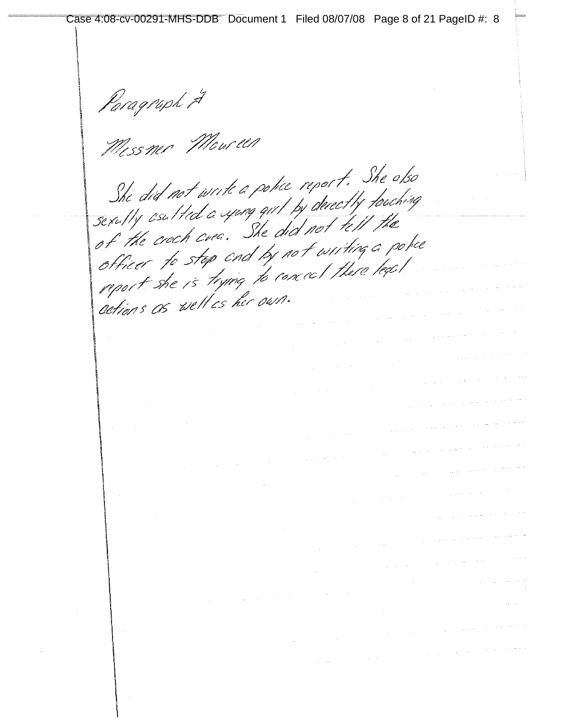Paragraph 2<br>Mess mer Mour len She did not write a police report. She also She did not write a ponce report.<br>sexutty csulted a yung girl by derectly touching sexulty asulted a sping quil by accessy from of the croch crea. She did not writing a poter officer to stop and by not willing a for report the reality of  $\label{eq:2.1} \frac{1}{\sqrt{2\pi}}\int_{0}^{\infty}\frac{1}{\sqrt{2\pi}}\left(\frac{1}{\sqrt{2\pi}}\int_{0}^{\infty}\frac{1}{\sqrt{2\pi}}\left(\frac{1}{\sqrt{2\pi}}\int_{0}^{\infty}\frac{1}{\sqrt{2\pi}}\int_{0}^{\infty}\frac{1}{\sqrt{2\pi}}\frac{1}{\sqrt{2\pi}}\frac{1}{\sqrt{2\pi}}\frac{1}{\sqrt{2\pi}}\frac{1}{\sqrt{2\pi}}\frac{1}{\sqrt{2\pi}}\frac{1}{\sqrt{2\pi}}\frac{1}{\sqrt{2\pi}}\frac{$  $\label{eq:2.1} \frac{1}{\sqrt{2\pi}}\int_{\mathbb{R}^3}\frac{1}{\sqrt{2\pi}}\int_{\mathbb{R}^3}\frac{1}{\sqrt{2\pi}}\int_{\mathbb{R}^3}\frac{1}{\sqrt{2\pi}}\int_{\mathbb{R}^3}\frac{1}{\sqrt{2\pi}}\int_{\mathbb{R}^3}\frac{1}{\sqrt{2\pi}}\int_{\mathbb{R}^3}\frac{1}{\sqrt{2\pi}}\int_{\mathbb{R}^3}\frac{1}{\sqrt{2\pi}}\int_{\mathbb{R}^3}\frac{1}{\sqrt{2\pi}}\int_{\mathbb{R}^3}\frac{1$  $\label{eq:2.1} \frac{1}{\sqrt{2\pi}}\int_{0}^{\pi} \frac{1}{\sqrt{2\pi}}\left(\frac{1}{\sqrt{2\pi}}\int_{0}^{\pi} \frac{1}{\sqrt{2\pi}}\left(\frac{1}{\sqrt{2\pi}}\right)^{2} \frac{1}{\sqrt{2\pi}}\left(\frac{1}{\sqrt{2\pi}}\right)^{2} \frac{1}{\sqrt{2\pi}}\right) \frac{1}{\sqrt{2\pi}}\frac{1}{\sqrt{2\pi}}\frac{1}{\sqrt{2\pi}}\frac{1}{\sqrt{2\pi}}\frac{1}{\sqrt{2\pi}}\frac{1}{\sqrt{2\pi}}\frac{1$  $\label{eq:1} \frac{1}{\sqrt{2\pi}\sqrt{2\pi}}\left(\frac{1}{\sqrt{2\pi}}\right)^{1/2}\left(\frac{1}{2\sqrt{2\pi}}\right)^{1/2}\left(\frac{1}{2\sqrt{2\pi}}\right)^{1/2}\left(\frac{1}{2\sqrt{2\pi}}\right)^{1/2}\left(\frac{1}{2\sqrt{2\pi}}\right)^{1/2}\left(\frac{1}{2\sqrt{2\pi}}\right)^{1/2}\left(\frac{1}{2\sqrt{2\pi}}\right)^{1/2}\left(\frac{1}{2\sqrt{2\pi}}\right)^{1/2}\left(\frac{1}{2\sqrt{2\pi}}\right)^{1$  $\label{eq:1} \frac{1}{\sqrt{2\pi}}\left(\frac{1}{\sqrt{2\pi}}\right)^{1/2}\frac{1}{\sqrt{2\pi}}\left(\frac{1}{\sqrt{2\pi}}\right)^{1/2}$  $\label{eq:2.1} \frac{1}{\sqrt{2}}\int_{\mathbb{R}^{2}}\left|\frac{d\mathbf{y}}{d\mathbf{x}}\right|^{2}d\mathbf{x}^{2}d\mathbf{x}^{2}d\mathbf{x}^{2}d\mathbf{x}^{2}d\mathbf{x}^{2}d\mathbf{x}^{2}d\mathbf{x}^{2}d\mathbf{x}^{2}d\mathbf{x}^{2}d\mathbf{x}^{2}d\mathbf{x}^{2}d\mathbf{x}^{2}d\mathbf{x}^{2}d\mathbf{x}^{2}d\mathbf{x}^{2}d\mathbf{x}^{2}d\mathbf{x}^{2}d\mathbf{x}^{2}d\$  $\label{eq:1} \mathcal{L}_{\text{max}}(\mathbf{r},\mathbf{r}) = \mathcal{L}_{\text{max}}(\mathbf{r},\mathbf{r})$  $\mathcal{L}_{\text{max}}$  , where  $\mathcal{L}_{\text{max}}$  and  $\mathcal{L}_{\text{max}}$  are  $\mathcal{L}_{\text{max}}$  $\label{eq:2.1} \frac{1}{\sqrt{2\pi}}\int_{\mathbb{R}^{2}}\frac{1}{\sqrt{2\pi}}\int_{\mathbb{R}^{2}}\frac{1}{\sqrt{2\pi}}\int_{\mathbb{R}^{2}}\frac{1}{\sqrt{2\pi}}\int_{\mathbb{R}^{2}}\frac{1}{\sqrt{2\pi}}\int_{\mathbb{R}^{2}}\frac{1}{\sqrt{2\pi}}\int_{\mathbb{R}^{2}}\frac{1}{\sqrt{2\pi}}\int_{\mathbb{R}^{2}}\frac{1}{\sqrt{2\pi}}\int_{\mathbb{R}^{2}}\frac{1}{\sqrt{2\pi}}\int_{\mathbb{$  $\label{eq:2.1} \frac{1}{\sqrt{2}}\left(\frac{1}{\sqrt{2}}\right)^{2} \left(\frac{1}{\sqrt{2}}\right)^{2} \left(\frac{1}{\sqrt{2}}\right)^{2} \left(\frac{1}{\sqrt{2}}\right)^{2} \left(\frac{1}{\sqrt{2}}\right)^{2} \left(\frac{1}{\sqrt{2}}\right)^{2} \left(\frac{1}{\sqrt{2}}\right)^{2} \left(\frac{1}{\sqrt{2}}\right)^{2} \left(\frac{1}{\sqrt{2}}\right)^{2} \left(\frac{1}{\sqrt{2}}\right)^{2} \left(\frac{1}{\sqrt{2}}\right)^{2} \left(\$  $\label{eq:2.1} \frac{1}{2\pi}\int_{\mathbb{R}^3}\frac{1}{\sqrt{2\pi}}\left(\frac{1}{2\pi}\int_{\mathbb{R}^3}\frac{1}{\sqrt{2\pi}}\left(\frac{1}{2\pi}\int_{\mathbb{R}^3}\frac{1}{\sqrt{2\pi}}\right)\frac{1}{\sqrt{2\pi}}\right)\frac{1}{\sqrt{2\pi}}\frac{1}{\sqrt{2\pi}}\frac{1}{\sqrt{2\pi}}\frac{1}{\sqrt{2\pi}}\frac{1}{\sqrt{2\pi}}\frac{1}{\sqrt{2\pi}}\frac{1}{\sqrt{2\pi}}\frac{1}{\sqrt{2\pi}}\frac$  $\label{eq:1.1} \mathcal{L}_{\mathcal{A}}(\mathcal{A}) = \frac{1}{2} \sum_{i=1}^n \frac{1}{2} \sum_{j=1}^n \frac{1}{2} \sum_{j=1}^n \frac{1}{2} \sum_{j=1}^n \frac{1}{2} \sum_{j=1}^n \frac{1}{2} \sum_{j=1}^n \frac{1}{2} \sum_{j=1}^n \frac{1}{2} \sum_{j=1}^n \frac{1}{2} \sum_{j=1}^n \frac{1}{2} \sum_{j=1}^n \frac{1}{2} \sum_{j=1}^n \frac{1}{2} \sum_{j=1}^n$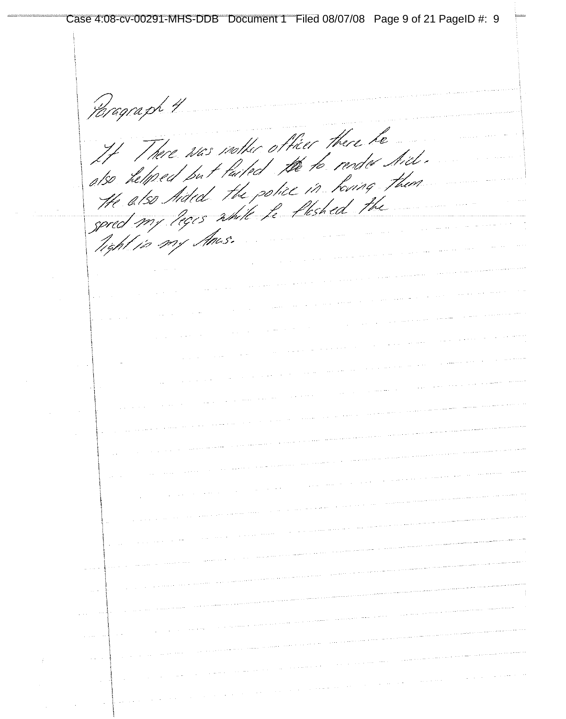Case 4:08-cv-00291-MHS-DDB Document 1 Filed 08/07/08 Page 9 of 21 PageID #: 9Paragraph 4 There was nother officer there he It There was instructed the to render thick. itso helped but laited the 10 Terms I heart the also Aided the police in round  $\label{eq:1} \hat{\mu}(\hat{\rho}) = \hat{\mu}(\hat{\rho}) \qquad \mbox{and} \qquad \hat{\rho}(\hat{\rho}) =$ free to pay thus.  $\frac{1}{2}$  , in a set  $\frac{1}{2}$  or فالمحافظ والمستقيم والمتحدث والمستقلب والمستقل والمناور  $\sim 10^{-1}$  k  $\vec{f}$  $\sim$   $\sim$ 事業のあり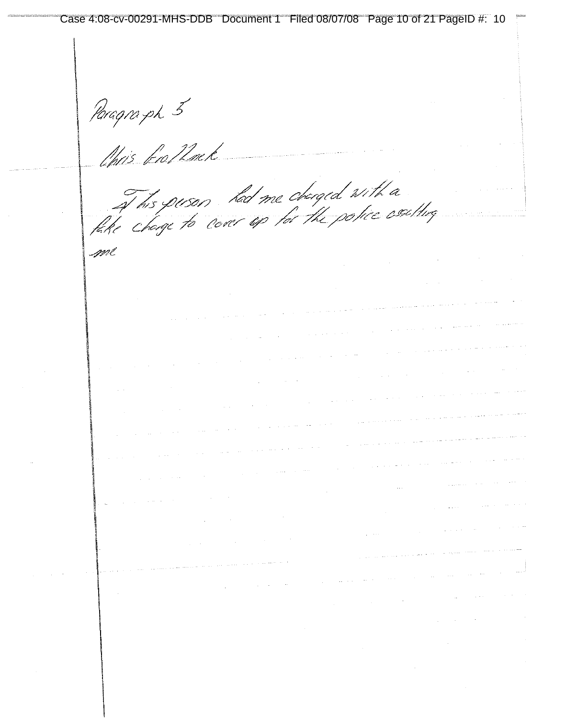Paragra ph 5<br>Nacis fro*12m* k

of his puses had me changed with a

| gwe                                                                                                                                                                                                                              |                                                                                                                    |                                                                                                                |                                                                                                                                                                                                                               |                                                    |  |
|----------------------------------------------------------------------------------------------------------------------------------------------------------------------------------------------------------------------------------|--------------------------------------------------------------------------------------------------------------------|----------------------------------------------------------------------------------------------------------------|-------------------------------------------------------------------------------------------------------------------------------------------------------------------------------------------------------------------------------|----------------------------------------------------|--|
|                                                                                                                                                                                                                                  |                                                                                                                    |                                                                                                                |                                                                                                                                                                                                                               |                                                    |  |
|                                                                                                                                                                                                                                  |                                                                                                                    |                                                                                                                |                                                                                                                                                                                                                               |                                                    |  |
|                                                                                                                                                                                                                                  | المستحقق المعاونة والمتساوية ستستقيم المتعدد والمتساوية المتساوية المتعارف والمتحدث والمتحدث والمتحدث والمتحدث     |                                                                                                                |                                                                                                                                                                                                                               |                                                    |  |
|                                                                                                                                                                                                                                  |                                                                                                                    | المستشهد والمستشهد والمستشهد والمتعاونة والمتعارض والمتعارض والمتعاونة والمتعارض والمتعارض والمستشهد والمتعارض |                                                                                                                                                                                                                               |                                                    |  |
| a de la construcción de la construcción de la construcción de la construcción de la construcción de la complet<br>A la construcción de la construcción de la construcción de la construcción de la construcción de la construcci |                                                                                                                    |                                                                                                                |                                                                                                                                                                                                                               |                                                    |  |
|                                                                                                                                                                                                                                  |                                                                                                                    |                                                                                                                |                                                                                                                                                                                                                               |                                                    |  |
| a da san an san an t-ainm an t-ainm an t-ainm an t-ainm an t-ainm an t-ainm an t-ainm an t-ainm an t-ainm.<br>T-ainm an t-ainm a' t-ainm an t-ainm a' t-ainm a' t-ainm an t-ainm an t-ainm an t-ainm an t-ainm an t-ainm an      |                                                                                                                    |                                                                                                                |                                                                                                                                                                                                                               |                                                    |  |
|                                                                                                                                                                                                                                  |                                                                                                                    |                                                                                                                | . The contract of the contract of the contract of the contract of the contract of the contract of the contract of the contract of the contract of the contract of the contract of the contract of the contract of the contrac |                                                    |  |
| is a constant of the constant of the constant of the constant of the constant of the space of the constant of $\mathcal{L}_\text{c}$                                                                                             |                                                                                                                    |                                                                                                                | المحافظة والمستقبل والمساحي والمتواطن والمتحاول والمتحدث والمتحدث والمتحدث والمتحدث والمستحدث المتحد                                                                                                                          |                                                    |  |
| is a constant of the set of the set of the set of the set of the set of the set of the set of the set of the set of the set of the set of the set of the set of the set of the set of the set of the set of the set of the se    |                                                                                                                    |                                                                                                                |                                                                                                                                                                                                                               |                                                    |  |
|                                                                                                                                                                                                                                  | الشام الموجود المعاشرة المعاشرة المعاملة والمعاشرة المعادلة المعاشرة الموجود التي تعاشر المعاشرة المعاشرة المعاشرة |                                                                                                                |                                                                                                                                                                                                                               |                                                    |  |
|                                                                                                                                                                                                                                  |                                                                                                                    |                                                                                                                |                                                                                                                                                                                                                               | the companies of the companies of the companies of |  |

 $\sim 10^{-11}$ 

 $\frac{1}{2} \left( \frac{1}{2} \right) \left( \frac{1}{2} \right) \left( \frac{1}{2} \right) \left( \frac{1}{2} \right) \left( \frac{1}{2} \right) \left( \frac{1}{2} \right) \left( \frac{1}{2} \right)$ 

 $\mathcal{L}_{\text{max}}$  , where  $\mathcal{L}_{\text{max}}$ 

 $\sim 10^{-11}$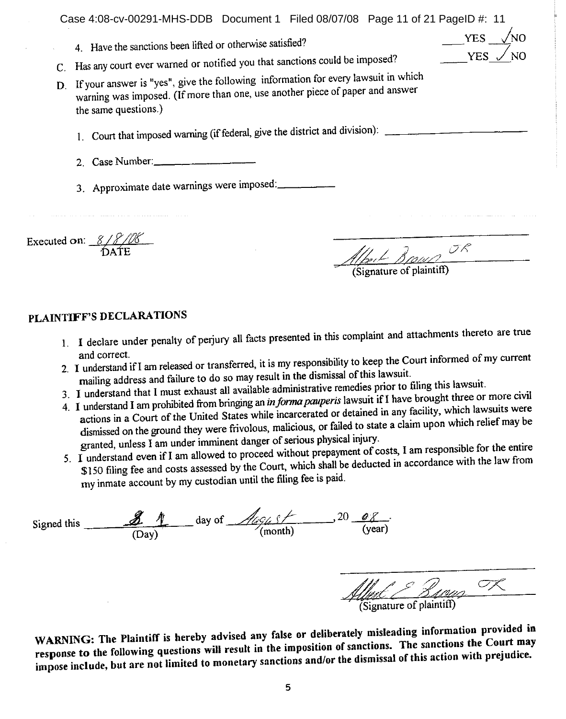|              | Case 4:08-cv-00291-MHS-DDB Document 1 Filed 08/07/08 Page 11 of 21 PageID #: 11<br><b>YES</b><br>4. Have the sanctions been lifted or otherwise satisfied?<br>YES.<br>Has any court ever warned or notified you that sanctions could be imposed?<br>D. If your answer is "yes", give the following information for every lawsuit in which<br>warning was imposed. (If more than one, use another piece of paper and answer<br>the same questions.)<br>1. Court that imposed warning (if federal, give the district and division):<br>2. Case Number: |
|--------------|------------------------------------------------------------------------------------------------------------------------------------------------------------------------------------------------------------------------------------------------------------------------------------------------------------------------------------------------------------------------------------------------------------------------------------------------------------------------------------------------------------------------------------------------------|
|              | 3. Approximate date warnings were imposed:                                                                                                                                                                                                                                                                                                                                                                                                                                                                                                           |
| Executed on: | 111 1 ]                                                                                                                                                                                                                                                                                                                                                                                                                                                                                                                                              |

# PLAINTIFF'S DECLARATIONS

1. I declare under penalty of perjury all facts presented in this complaint and attachments thereto are true and correct.

 $\frac{77}{200}$  (Signature of plaintiff)

 $\sigma$ 

- 2. I understand if I am released or transferred, it is my responsibility to keep the Court informed of my current mailing address and failure to do so may result in the dismissal of this lawsuit.
- 3. I understand that I must exhaust all available administrative remedies prior to filing this lawsuit.
- 4. I understand I am prohibited from bringing an in forma pauperis lawsuit if I have brought three or more civil
- actions in a Court of the United States while incarcerated or detained in any facility, which lawsuits were dismissed on the ground they were frivolous, malicious, or failed to state a claim upon which relief may be granted, unless I am under imminent danger of serious physical injury.
- 5. I understand even if I am allowed to proceed without prepayment of costs, I am responsible for the entire \$150 filing fee and costs assessed by the Court, which shall be deducted in accordance with the law from my inmate account by my custodian until the filing fee is paid.

| Signed this | Æ<br>(Day)    | day of<br>(month) | 20<br>- 6<br>(year)      |
|-------------|---------------|-------------------|--------------------------|
|             | $\mathcal{A}$ |                   | (Signature of plaintiff) |

WARNING: The Plaintiff is hereby advised any false or deliberately misleading information provided in response to the following questions will result in the imposition of sanctions. The sanctions the Court may impose include, but are not limited to monetary sanctions and/or the dismissal of this action with prejudice.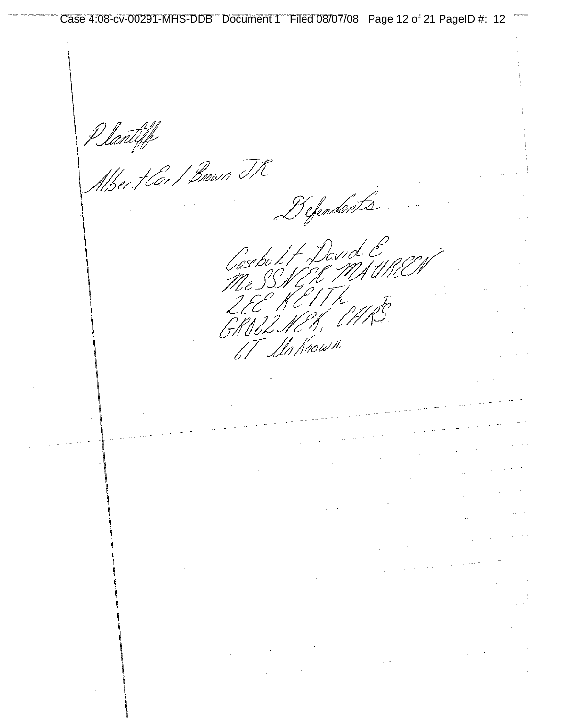Plantiff<br>Athert Carl Brown TR

 $\hat{\varphi}$  .

9f, Eti IT In Known

Gasebo Lt David E

Befendants

 $\sim 10^{11}$ 

 $\frac{1}{2} \left( \frac{1}{2} \right)$  $\label{eq:1} \frac{1}{\sqrt{2\pi}}\int_{\mathbb{R}^3}\frac{1}{\sqrt{2\pi}}\left(\frac{1}{\sqrt{2\pi}}\right)^2\frac{d\mathbf{r}}{d\mathbf{r}}\,d\mathbf{r}$ 

 $\sim$ 

 $\sim$   $\sim$  $\label{eq:2.1} \frac{1}{\sqrt{2\pi}}\int_{\mathbb{R}^3}\frac{1}{\sqrt{2\pi}}\int_{\mathbb{R}^3}\frac{1}{\sqrt{2\pi}}\int_{\mathbb{R}^3}\frac{1}{\sqrt{2\pi}}\int_{\mathbb{R}^3}\frac{1}{\sqrt{2\pi}}\int_{\mathbb{R}^3}\frac{1}{\sqrt{2\pi}}\int_{\mathbb{R}^3}\frac{1}{\sqrt{2\pi}}\int_{\mathbb{R}^3}\frac{1}{\sqrt{2\pi}}\int_{\mathbb{R}^3}\frac{1}{\sqrt{2\pi}}\int_{\mathbb{R}^3}\frac{1$ 

 $\sqrt{1-\mu}$  .  $\sim$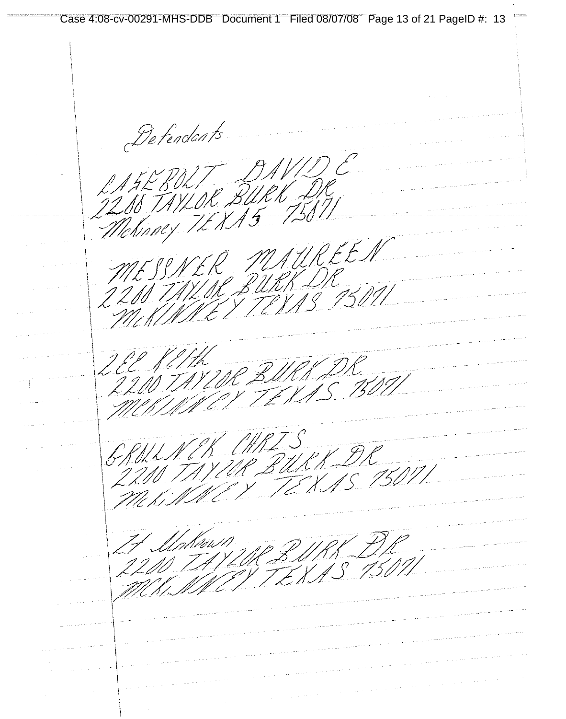Case 4:08-cv-00291-MHS-DDB Document 1 Filed 08/07/08 Page 13 of 21 PageID #: 13Defendants LATEBOLT DAVIDE SNER MAUREEN MES. SSILIK BU R DR<br>V 13 15 0 11 220 WRK DR EE PETTH 220 NEK AMLIZURK DR GRULL. 15 15071 T PIP f<br>Aðri 1. 1 AS 150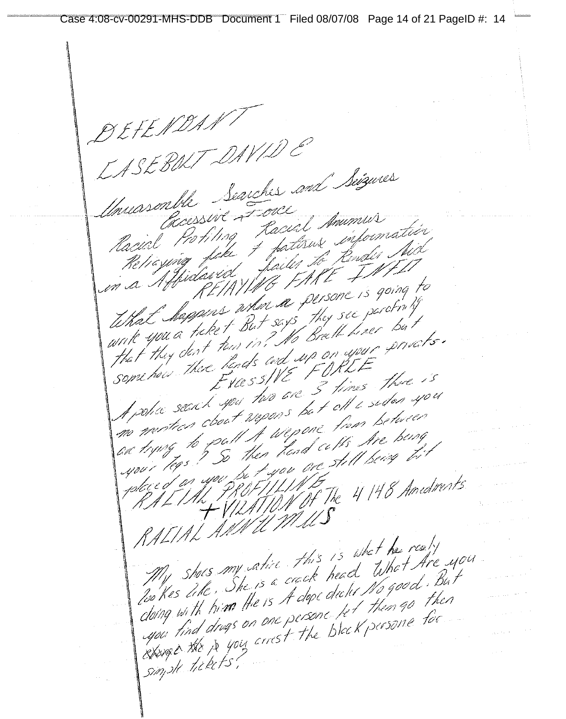Case 4:08-cv-00291-MHS-DDB Document 1 Filed 08/07/08 Page 14 of 21 PageID #: 14

DEFENDAN SLILS.<br>CASEBOLT DAVID CASL BULI Levehes and Seizures Insursone Cocessive Food Amumus Croessive 2 soul Anumus<br>ind Protiling factions information in a Affidavide VING FAKE + 11 F What happens where a persone is going What Mappins when says they see perormy write you a ticket by The Breth Lizer by<br>that they dent tom in? He break uppure private. come how there hands when FORDE<br>Exact you two are 3 times three is<br>A police seench you two are 3 times three you I vies in 3 times three ?"<br>A police seent you two are 3 times suden you A police secret spect wepons be to all a survey of no mestion cool of uppone tion permit a to put thes hand ce the the pain you be typed only<br>4. PROFILING The 4148 Amedments RAETAL AMATEMATICA RALIAL ANDREN<br>My shoes any satire this is what he realy My shors my afire this is whet he really<br>My shors my afire this is whet Are you My shoes any serve head When I can<br>loo Kes like, She is a create head No good. But Too Kes Like, She is A dope dictor No. 9000. Then<br>cloting with him the is A dope felt then go then<br>upor find drugs on one persone felt persone for cloing with him the is the persone let them go the Response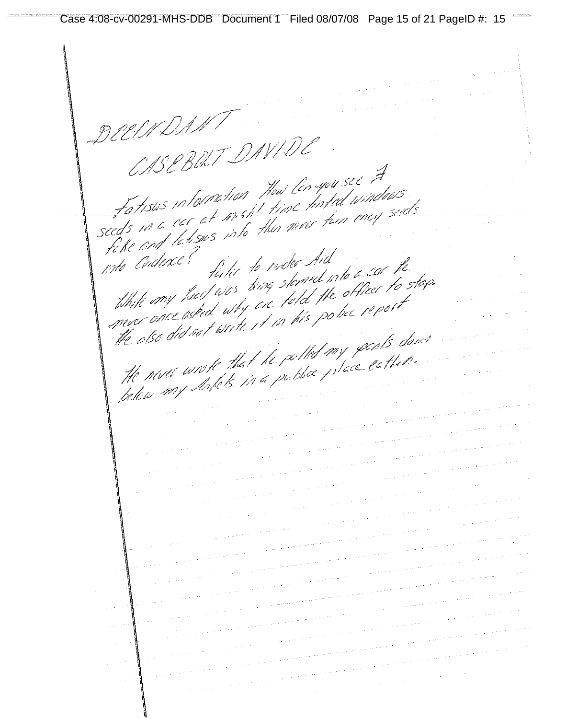Case 4:08-cv-00291-MHS-DDB Document 1 Filed 08/07/08 Page 15 of 21 PageID #: 15

CASEBOLT DAVIDO CASE DURI<br>Fatisus in forme time Mow Con you see A Fatisus internation the lenger see a Fatisus intermetion from time time windows fàilee to moder Aid fahe ary take and the failer to make Aid<br>thill my had was king staned into a car the<br>thill my had was king stand the officer to stop the also did not write it in my parts down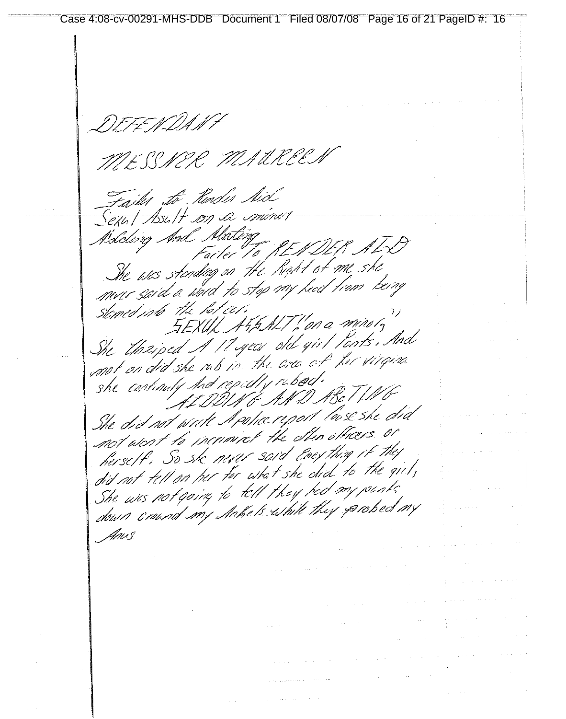DEFENDANT MESSNER MAUREE Failes to Ronder Mid Sexul Asult con a minor Solding And Abating Failer To NEP DEN ARX<br>She was standing on the Right of me she<br>mur said a word to stop my heat trom being stomed into the bot cer.  $5$  The respect to  $45$  MT (for a sorise to ) She through I Hyear old girl Ponts. And ne unzipea si regun che qui l'esperanti she castinuty hid repedly rubod. AIDDUNG AND ABET WG She did not write Apolice report love she did ne ara nor ance in the other officers or hersett, So sk never said Encything if they herser come never sore coupled to the girl, did not tell on the for and she can. She was not going to "all I hay ready" Anus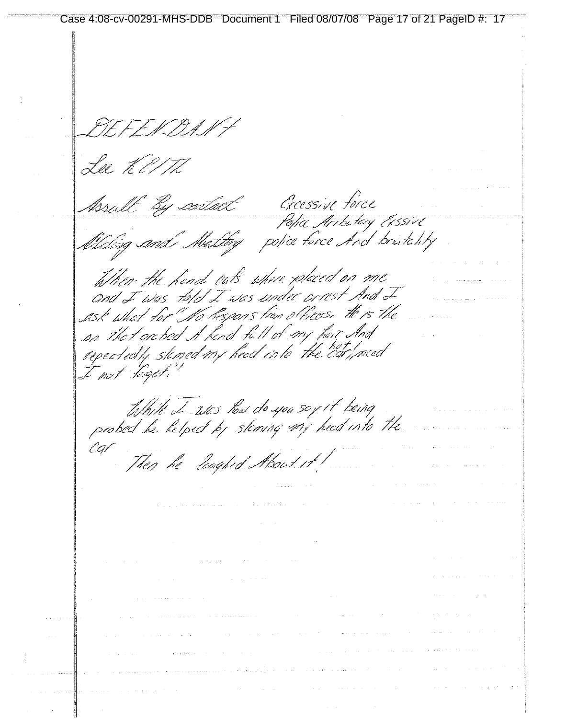Lee KellTh Croessive force Asult By contact Police Aribitary Exssive Waling and Matting police force And brintality When the head cuts where placed on me and I was told I was under orrest And I Ask what for No Respons from a Piccos, the is the on the t grebed A hend full of my hail And repeatedly skned my head into the car need I not light? While I was how do you soy it being<br>probed he helped by staming my head into the Then he loaghed About it!  $\sim 10^{11}$  and  $\sim 20^{11}$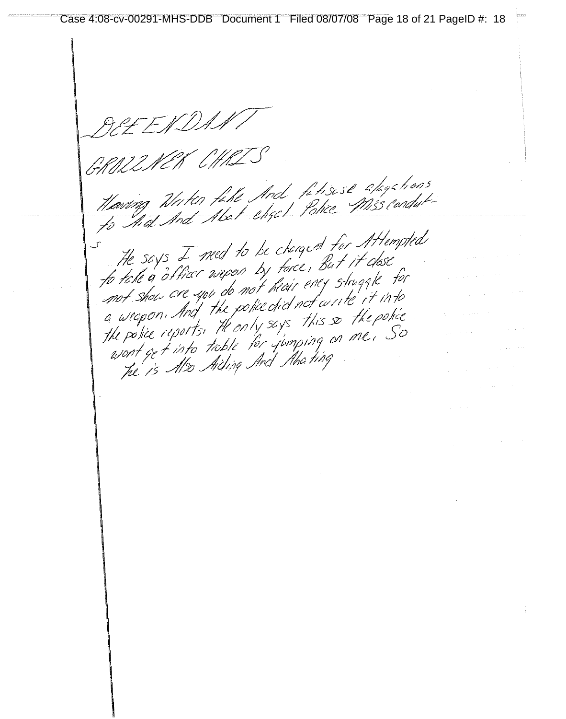Mones<br>Maring Nutin file And filisese alogations<br>to And And Abat eliget Police Miss condut For the says I med to be changed for Attempted<br>The says I med to be changed for Attempted<br>for take a officer wepen by farce, But it dose<br>not show are upo do not heair energy struggle for<br>a weapon, And the police did not a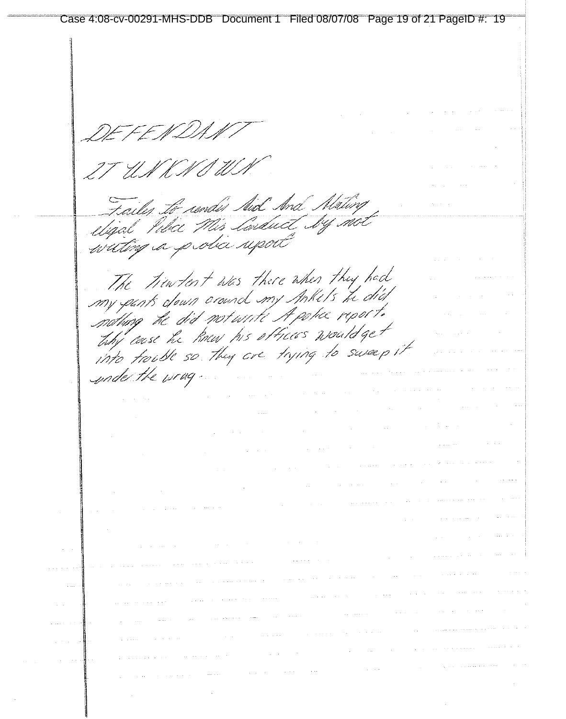Case 4:08-cv-00291-MHS-DDB Document 1 Filed 08/07/08 Page 19 of 21 PageID #: 19EN DI UN KNO W Failes to render And Mating Sailes to render such since severing<br>Wigal Pika Mis Saiduct Sy such<br>willing a p oba supert The Tientent was there when they had ny pants down crownel my Ankels the dia my fams crown crowned in finite to thy case he haw his offices would get ing laise we may you . Injing to sweep it under the wrage  $\hat{\mathcal{L}}_{\text{max}}$  , where  $\hat{\mathcal{L}}_{\text{max}}$  $\mathcal{L}_{\text{max}}$  and  $\mathcal{L}_{\text{max}}$  and  $\mathcal{L}_{\text{max}}$  $\mathcal{A}^{\mathcal{A}}$  $\chi^2$  ,  $\chi^2$  ,  $\chi^2$  $\mathcal{L}_{\text{max}}$  , and  $\mathcal{L}_{\text{max}}$  , and  $\hat{\mathcal{L}}_{\text{max}}$  and  $\hat{\mathcal{L}}_{\text{max}}$  $\sim$  $\alpha$  ,  $\alpha$  $\Delta$  and  $\Delta$  ,  $\Delta$  $\hat{p}_{\rm{max}}$  , and the second constraint  $\hat{p}_{\rm{max}}$  $\sim 10^6$  $\sim$   $\mu$  $\sim 100$  $\mathcal{A}^{\mathcal{A}}$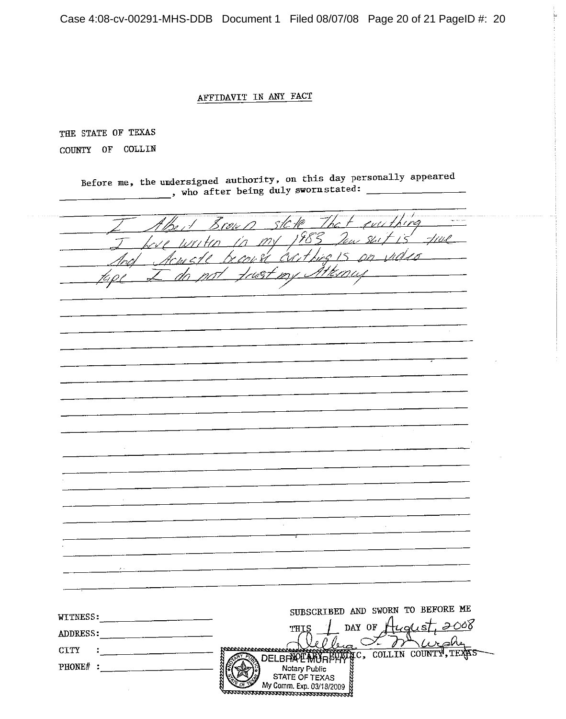Case 4:08-cv-00291-MHS-DDB Document 1 Filed 08/07/08 Page 20 of 21 PageID #: 20

#### AFFIDAVIT IN ANY FACT

THE STATE OF TEXAS COUNTY OF COLLIN

> Before me, the undersigned authority, on this day personally appeared , who after being duly sworn stated:

| ert Brown sick<br><u>my 1983</u><br>rest Exit.<br>. سرد<br>$\sim$<br>SUBSCRIBED AND SWORN TO BEFORE ME<br>WITNESS:<br>DAY OF $\frac{\mu}{\sqrt{2\pi}}$<br>THIS<br><b>ADDRESS:</b><br><u> 1980 - Jan Stein Stein Stein Stein Stein Stein Stein Stein Stein Stein Stein Stein Stein Stein Stein Stein Stein Stein Stein Stein Stein Stein Stein Stein Stein Stein Stein Stein Stein Stein Stein Stein Stein Stein Stein</u><br><b>CITY</b><br>tronnovervouvous<br><u> 1999 - Jan Jawa</u><br>COLLIN COUNTY, TEN<br>ĀС,<br><b>DELBRAPE MORPHY</b><br>PHONE# :<br>Motary Public<br>STATE OF TEXAS<br>My Comm. Exp. 03/18/2009 |  |  |  |  |
|---------------------------------------------------------------------------------------------------------------------------------------------------------------------------------------------------------------------------------------------------------------------------------------------------------------------------------------------------------------------------------------------------------------------------------------------------------------------------------------------------------------------------------------------------------------------------------------------------------------------------|--|--|--|--|
|                                                                                                                                                                                                                                                                                                                                                                                                                                                                                                                                                                                                                           |  |  |  |  |
|                                                                                                                                                                                                                                                                                                                                                                                                                                                                                                                                                                                                                           |  |  |  |  |
|                                                                                                                                                                                                                                                                                                                                                                                                                                                                                                                                                                                                                           |  |  |  |  |
|                                                                                                                                                                                                                                                                                                                                                                                                                                                                                                                                                                                                                           |  |  |  |  |
|                                                                                                                                                                                                                                                                                                                                                                                                                                                                                                                                                                                                                           |  |  |  |  |
|                                                                                                                                                                                                                                                                                                                                                                                                                                                                                                                                                                                                                           |  |  |  |  |
|                                                                                                                                                                                                                                                                                                                                                                                                                                                                                                                                                                                                                           |  |  |  |  |
|                                                                                                                                                                                                                                                                                                                                                                                                                                                                                                                                                                                                                           |  |  |  |  |
|                                                                                                                                                                                                                                                                                                                                                                                                                                                                                                                                                                                                                           |  |  |  |  |
|                                                                                                                                                                                                                                                                                                                                                                                                                                                                                                                                                                                                                           |  |  |  |  |
|                                                                                                                                                                                                                                                                                                                                                                                                                                                                                                                                                                                                                           |  |  |  |  |
|                                                                                                                                                                                                                                                                                                                                                                                                                                                                                                                                                                                                                           |  |  |  |  |
|                                                                                                                                                                                                                                                                                                                                                                                                                                                                                                                                                                                                                           |  |  |  |  |
|                                                                                                                                                                                                                                                                                                                                                                                                                                                                                                                                                                                                                           |  |  |  |  |
|                                                                                                                                                                                                                                                                                                                                                                                                                                                                                                                                                                                                                           |  |  |  |  |
|                                                                                                                                                                                                                                                                                                                                                                                                                                                                                                                                                                                                                           |  |  |  |  |
|                                                                                                                                                                                                                                                                                                                                                                                                                                                                                                                                                                                                                           |  |  |  |  |
|                                                                                                                                                                                                                                                                                                                                                                                                                                                                                                                                                                                                                           |  |  |  |  |
|                                                                                                                                                                                                                                                                                                                                                                                                                                                                                                                                                                                                                           |  |  |  |  |
|                                                                                                                                                                                                                                                                                                                                                                                                                                                                                                                                                                                                                           |  |  |  |  |
|                                                                                                                                                                                                                                                                                                                                                                                                                                                                                                                                                                                                                           |  |  |  |  |
|                                                                                                                                                                                                                                                                                                                                                                                                                                                                                                                                                                                                                           |  |  |  |  |
|                                                                                                                                                                                                                                                                                                                                                                                                                                                                                                                                                                                                                           |  |  |  |  |
|                                                                                                                                                                                                                                                                                                                                                                                                                                                                                                                                                                                                                           |  |  |  |  |
|                                                                                                                                                                                                                                                                                                                                                                                                                                                                                                                                                                                                                           |  |  |  |  |
|                                                                                                                                                                                                                                                                                                                                                                                                                                                                                                                                                                                                                           |  |  |  |  |
|                                                                                                                                                                                                                                                                                                                                                                                                                                                                                                                                                                                                                           |  |  |  |  |
|                                                                                                                                                                                                                                                                                                                                                                                                                                                                                                                                                                                                                           |  |  |  |  |
|                                                                                                                                                                                                                                                                                                                                                                                                                                                                                                                                                                                                                           |  |  |  |  |
|                                                                                                                                                                                                                                                                                                                                                                                                                                                                                                                                                                                                                           |  |  |  |  |
|                                                                                                                                                                                                                                                                                                                                                                                                                                                                                                                                                                                                                           |  |  |  |  |
|                                                                                                                                                                                                                                                                                                                                                                                                                                                                                                                                                                                                                           |  |  |  |  |